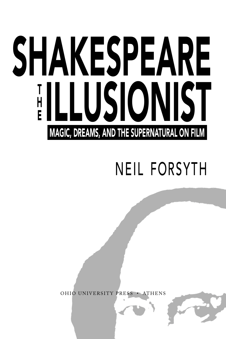# SHAKESPEARE **ILLUSIONIST**  $\mathsf{\Pi}$ E Magic, Dreams, and the Supernatural on Film

## Neil Forsyth

Ohio University Press • Athens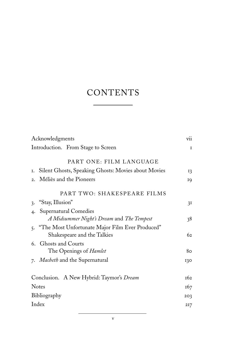### **CONTENTS**

| Acknowledgments                                                                   | vii             |
|-----------------------------------------------------------------------------------|-----------------|
| Introduction. From Stage to Screen                                                | $\mathbf{I}$    |
| PART ONE: FILM LANGUAGE                                                           |                 |
| Silent Ghosts, Speaking Ghosts: Movies about Movies<br>Ι.                         | 13              |
| Méliès and the Pioneers<br>$\overline{2}$ .                                       | 19              |
| PART TWO: SHAKESPEARE FILMS                                                       |                 |
| "Stay, Illusion"<br>$\ddot{3}$                                                    | 3I              |
| Supernatural Comedies<br>$\overline{4}$                                           |                 |
| A Midsummer Night's Dream and The Tempest                                         | 38              |
| 5. "The Most Unfortunate Major Film Ever Produced"<br>Shakespeare and the Talkies | 62              |
| 6. Ghosts and Courts                                                              |                 |
| The Openings of <i>Hamlet</i>                                                     | 80              |
| 7. Macheth and the Supernatural                                                   | 130             |
|                                                                                   |                 |
| Conclusion. A New Hybrid: Taymor's Dream                                          | <b>162</b>      |
| <b>Notes</b>                                                                      | 167             |
| Bibliography                                                                      | 2O <sub>3</sub> |
| Index                                                                             | 217             |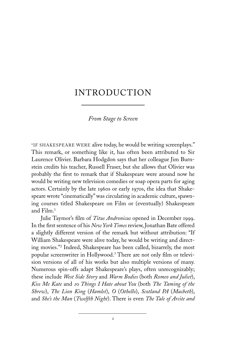### **INTRODUCTION**

#### *From Stage to Screen*

"If Shakespeare were alive today, he would be writing screenplays." This remark, or something like it, has often been attributed to Sir Laurence Olivier. Barbara Hodgdon says that her colleague Jim Burnstein credits his teacher, Russell Fraser, but she allows that Olivier was probably the first to remark that if Shakespeare were around now he would be writing new television comedies or soap opera parts for aging actors. Certainly by the late 1960s or early 1970s, the idea that Shakespeare wrote "cinematically" was circulating in academic culture, spawning courses titled Shakespeare on Film or (eventually) Shakespeare and Film.<sup>1</sup>

Julie Taymor's film of *Titus Andronicus* opened in December 1999. In the first sentence of his *New York Times* review, Jonathan Bate offered a slightly different version of the remark but without attribution: "If William Shakespeare were alive today, he would be writing and directing movies."2 Indeed, Shakespeare has been called, bizarrely, the most popular screenwriter in Hollywood.3 There are not only film or television versions of all of his works but also multiple versions of many. Numerous spin-offs adapt Shakespeare's plays, often unrecognizably; these include *West Side Story* and *Warm Bodies* (both *Romeo and Juliet*), *Kiss Me Kate* and *10 Things I Hate about You* (both *The Taming of the Shrew*), *The Lion King* (*Hamlet*), *O* (*Othello*), *Scotland PA* (*Macbeth*), and *She's the Man* (*Twelfth Night*). There is even *The Tale of Arcite and*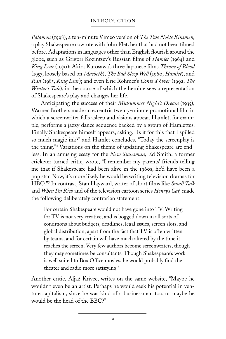#### Introduction

*Palamon* (1998), a ten-minute Vimeo version of *The Two Noble Kinsmen,*  a play Shakespeare cowrote with John Fletcher that had not been filmed before. Adaptations in languages other than English flourish around the globe, such as Grigori Kozintsev's Russian films of *Hamlet* (1964) and *King Lear* (1970); Akira Kurosawa's three Japanese films *Throne of Blood* (1957, loosely based on *Macbeth*), *The Bad Sleep Well* (1960, *Hamlet*), and *Ran* (1985, *King Lear*); and even Éric Rohmer's *Conte d'hiver* (1992, *The Winter's Tale*), in the course of which the heroine sees a representation of Shakespeare's play and changes her life.

 Anticipating the success of their *Midsummer Night's Dream* (1935), Warner Brothers made an eccentric twenty-minute promotional film in which a screenwriter falls asleep and visions appear. Hamlet, for example, performs a jazzy dance sequence backed by a group of Hamlettes. Finally Shakespeare himself appears, asking, "Is it for this that I spilled so much magic ink?" and Hamlet concludes, "Today the screenplay is the thing."4 Variations on the theme of updating Shakespeare are endless. In an amusing essay for the *New Statesman,* Ed Smith, a former cricketer turned critic, wrote, "I remember my parents' friends telling me that if Shakespeare had been alive in the 1960s, he'd have been a pop star. Now, it's more likely he would be writing television dramas for HBO."5 In contrast, Stan Hayward, writer of short films like *Small Talk*  and *When I'm Rich* and of the television cartoon series *Henry's Cat,* made the following deliberately contrarian statement:

For certain Shakespeare would not have gone into TV. Writing for TV is not very creative, and is bogged down in all sorts of conditions about budgets, deadlines, legal issues, screen slots, and global distribution, apart from the fact that TV is often written by teams, and for certain will have much altered by the time it reaches the screen. Very few authors become screenwriters, though they may sometimes be consultants*.* Though Shakespeare's work is well suited to Box Office movies, he would probably find the theater and radio more satisfying.6

Another critic, Aljaž Krivec, writes on the same website, "Maybe he wouldn't even be an artist. Perhaps he would seek his potential in venture capitalism, since he was kind of a businessman too, or maybe he would be the head of the BBC?"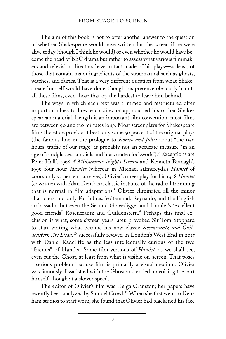The aim of this book is not to offer another answer to the question of whether Shakespeare would have written for the screen if he were alive today (though I think he would) or even whether he would have become the head of BBC drama but rather to assess what various filmmakers and television directors have in fact made of his plays—at least, of those that contain major ingredients of the supernatural such as ghosts, witches, and fairies. That is a very different question from what Shakespeare himself would have done, though his presence obviously haunts all these films, even those that try the hardest to leave him behind.

 The ways in which each text was trimmed and restructured offer important clues to how each director approached his or her Shakespearean material. Length is an important film convention: most films are between 90 and 130 minutes long. Most screenplays for Shakespeare films therefore provide at best only some 50 percent of the original plays (the famous line in the prologue to *Romeo and Juliet* about "the two hours' traffic of our stage" is probably not an accurate measure "in an age of sandglasses, sundials and inaccurate clockwork").7 Exceptions are Peter Hall's 1968 *A Midsummer Night's Dream* and Kenneth Branagh's 1996 four-hour *Hamlet* (whereas in Michael Almereyda's *Hamlet* of 2000, only 35 percent survives). Olivier's screenplay for his 1948 *Hamlet*  (cowritten with Alan Dent) is a classic instance of the radical trimming that is normal in film adaptations*.* <sup>8</sup> Olivier eliminated all the minor characters: not only Fortinbras, Voltemand, Reynaldo, and the English ambassador but even the Second Gravedigger and Hamlet's "excellent good friends" Rosencrantz and Guildenstern.<sup>9</sup> Perhaps this final exclusion is what, some sixteen years later, provoked Sir Tom Stoppard to start writing what became his now-classic *Rosencrantz and Guildenstern Are Dead,*10 successfully revived in London's West End in 2017 with Daniel Radcliffe as the less intellectually curious of the two "friends" of Hamlet*.* Some film versions of *Hamlet,* as we shall see, even cut the Ghost, at least from what is visible on-screen. That poses a serious problem because film is primarily a visual medium. Olivier was famously dissatisfied with the Ghost and ended up voicing the part himself, though at a slower speed.

 The editor of Olivier's film was Helga Cranston; her papers have recently been analyzed by Samuel Crowl.11 When she first went to Denham studios to start work, she found that Olivier had blackened his face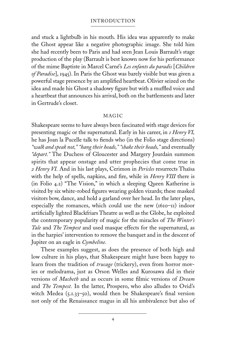#### Introduction

and stuck a lightbulb in his mouth. His idea was apparently to make the Ghost appear like a negative photographic image. She told him she had recently been to Paris and had seen Jean Louis Barrault's stage production of the play (Barrault is best known now for his performance of the mime Baptiste in Marcel Carné's *Les enfants du paradis* [*Children of Paradise*], 1945). In Paris the Ghost was barely visible but was given a powerful stage presence by an amplified heartbeat. Olivier seized on the idea and made his Ghost a shadowy figure but with a muffled voice and a heartbeat that announces his arrival, both on the battlements and later in Gertrude's closet.

#### **MAGIC**

Shakespeare seems to have always been fascinated with stage devices for presenting magic or the supernatural. Early in his career, in *1 Henry VI,* he has Joan la Pucelle talk to fiends who (in the Folio stage directions) *"walk and speak not," "hang their heads," "shake their heads,"* and eventually *"depart."* The Duchess of Gloucester and Margery Jourdain summon spirits that appear onstage and utter prophecies that come true in *2 Henry VI.* And in his last plays, Cerimon in *Pericles* resurrects Thaïsa with the help of spells, napkins, and fire, while in *Henry VIII* there is (in Folio 4.2) "The Vision," in which a sleeping Queen Katherine is visited by six white-robed figures wearing golden vizards; these masked visitors bow, dance, and hold a garland over her head. In the later plays, especially the romances, which could use the new (1610–11) indoor artificially lighted Blackfriars Theatre as well as the Globe, he exploited the contemporary popularity of magic for the miracles of *The Winter's Tale* and *The Tempest* and used masque effects for the supernatural, as in the harpies' intervention to remove the banquet and in the descent of Jupiter on an eagle in *Cymbeline.*

 These examples suggest, as does the presence of both high and low culture in his plays, that Shakespeare might have been happy to learn from the tradition of *trucage* (trickery), even from horror movies or melodrama, just as Orson Welles and Kurosawa did in their versions of *Macbeth* and as occurs in some filmic versions of *Dream* and *The Tempest.* In the latter, Prospero, who also alludes to Ovid's witch Medea (5.1.33–50), would then be Shakespeare's final version not only of the Renaissance magus in all his ambivalence but also of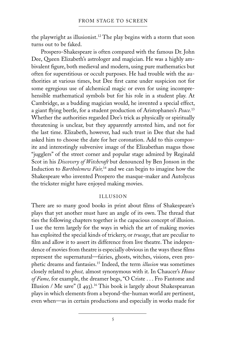the playwright as illusionist.<sup>12</sup> The play begins with a storm that soon turns out to be faked.

 Prospero-Shakespeare is often compared with the famous Dr. John Dee, Queen Elizabeth's astrologer and magician. He was a highly ambivalent figure, both medieval and modern, using pure mathematics but often for superstitious or occult purposes. He had trouble with the authorities at various times, but Dee first came under suspicion not for some egregious use of alchemical magic or even for using incomprehensible mathematical symbols but for his role in a student play. At Cambridge, as a budding magician would, he invented a special effect, a giant flying beetle, for a student production of Aristophanes's *Peace.*<sup>13</sup> Whether the authorities regarded Dee's trick as physically or spiritually threatening is unclear, but they apparently arrested him, and not for the last time. Elizabeth, however, had such trust in Dee that she had asked him to choose the date for her coronation. Add to this composite and interestingly subversive image of the Elizabethan magus those "jugglers" of the street corner and popular stage admired by Reginald Scot in his *Discovery of Witchcraft* but denounced by Ben Jonson in the Induction to *Bartholemew Fair,*14 and we can begin to imagine how the Shakespeare who invented Prospero the masque-maker and Autolycus the trickster might have enjoyed making movies.

#### **ILLUSION**

There are so many good books in print about films of Shakespeare's plays that yet another must have an angle of its own. The thread that ties the following chapters together is the capacious concept of illusion. I use the term largely for the ways in which the art of making movies has exploited the special kinds of trickery, or *trucage*, that are peculiar to film and allow it to assert its difference from live theatre. The independence of movies from theatre is especially obvious in the ways these films represent the supernatural—fairies, ghosts, witches, visions, even prophetic dreams and fantasies.15 Indeed, the term *illusion* was sometimes closely related to *ghost,* almost synonymous with it. In Chaucer's *House of Fame,* for example, the dreamer begs, "O Criste . . . Fro Fantome and Illusion / Me save" (I 493).<sup>16</sup> This book is largely about Shakespearean plays in which elements from a beyond-the-human world are pertinent, even when—as in certain productions and especially in works made for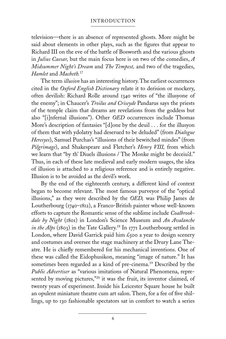television—there is an absence of represented ghosts. More might be said about elements in other plays, such as the figures that appear to Richard III on the eve of the battle of Bosworth and the various ghosts in *Julius Caesar,* but the main focus here is on two of the comedies, *A Midsummer Night's Dream* and *The Tempest,* and two of the tragedies, *Hamlet* and *Macbeth.*<sup>17</sup>

 The term *illusion* has an interesting history. The earliest occurrences cited in the *Oxford English Dictionary* relate it to derision or mockery, often devilish: Richard Rolle around 1340 writes of "the illusyone of the enemy"; in Chaucer's *Troilus and Criseyde* Pandarus says the priests of the temple claim that dreams are revelations from the goddess but also "[i]nfernal illusions"). Other *OED* occurrences include Thomas More's description of fantasies "[d]one by the deuil . . . for the illusyon of them that with ydolatry had deserued to be deluded" (from *Dialogue Heresyes*), Samuel Purchas's "illusions of their bewitched mindes" (from *Pilgrimage*), and Shakespeare and Fletcher's *Henry VIII,* from which we learn that "by th' Diuels illusions / The Monke might be deceiu'd." Thus, in each of these late medieval and early modern usages, the idea of illusion is attached to a religious reference and is entirely negative. Illusion is to be avoided as the devil's work.

By the end of the eighteenth century, a different kind of context began to become relevant. The most famous purveyor of the "optical illusions," as they were described by the *OED,* was Philip James de Loutherbourg (1740–1812), a Franco-British painter whose well-known efforts to capture the Romantic sense of the sublime include *Coalbrookdale by Night* (1801) in London's Science Museum and *An Avalanche in the Alps* (1803) in the Tate Gallery.18 In 1771 Loutherbourg settled in London, where David Garrick paid him  $\mathcal{L}_{500}$  a year to design scenery and costumes and oversee the stage machinery at the Drury Lane Theatre*.* He is chiefly remembered for his mechanical inventions. One of these was called the Eidophusikon, meaning "image of nature." It has sometimes been regarded as a kind of pre-cinema.<sup>19</sup> Described by the *Public Advertiser* as "various imitations of Natural Phenomena, represented by moving pictures,"<sup>20</sup> it was the fruit, its inventor claimed, of twenty years of experiment. Inside his Leicester Square house he built an opulent miniature theatre cum art salon. There, for a fee of five shillings, up to 130 fashionable spectators sat in comfort to watch a series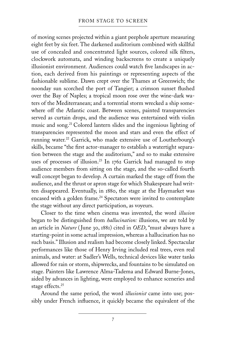of moving scenes projected within a giant peephole aperture measuring eight feet by six feet. The darkened auditorium combined with skillful use of concealed and concentrated light sources, colored silk filters, clockwork automata, and winding backscreens to create a uniquely illusionist environment. Audiences could watch five landscapes in action, each derived from his paintings or representing aspects of the fashionable sublime. Dawn crept over the Thames at Greenwich; the noonday sun scorched the port of Tangier; a crimson sunset flushed over the Bay of Naples; a tropical moon rose over the wine-dark waters of the Mediterranean; and a torrential storm wrecked a ship somewhere off the Atlantic coast. Between scenes, painted transparencies served as curtain drops, and the audience was entertained with violin music and song.21 Colored lantern slides and the ingenious lighting of transparencies represented the moon and stars and even the effect of running water.22 Garrick, who made extensive use of Loutherbourg's skills, became "the first actor-manager to establish a watertight separation between the stage and the auditorium," and so to make extensive uses of processes of illusion.<sup>23</sup> In 1762 Garrick had managed to stop audience members from sitting on the stage, and the so-called fourth wall concept began to develop. A curtain marked the stage off from the audience, and the thrust or apron stage for which Shakespeare had written disappeared. Eventually, in 1880, the stage at the Haymarket was encased with a golden frame.<sup>24</sup> Spectators were invited to contemplate the stage without any direct participation, as voyeurs.

Closer to the time when cinema was invented, the word *illusion*  began to be distinguished from *hallucination:* illusions, we are told by an article in *Nature* ( June 30, 1881) cited in *OED*, "must always have a starting-point in some actual impression, whereas a hallucination has no such basis." Illusion and realism had become closely linked. Spectacular performances like those of Henry Irving included real trees, even real animals, and water: at Sadler's Wells, technical devices like water tanks allowed for rain or storm, shipwrecks, and fountains to be simulated on stage. Painters like Lawrence Alma-Tadema and Edward Burne-Jones, aided by advances in lighting, were employed to enhance sceneries and stage effects.<sup>25</sup>

 Around the same period, the word *illusionist* came into use; possibly under French influence, it quickly became the equivalent of the

7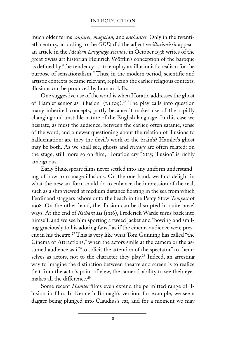#### Introduction

much older terms *conjurer, magician,* and *enchanter.* Only in the twentieth century, according to the *OED,* did the adjective *illusionistic* appear: an article in the *Modern Language Review* in October 1938 writes of the great Swiss art historian Heinrich Wöfflin's conception of the baroque as defined by "the tendency . . . to employ an illusionistic realism for the purpose of sensationalism." Thus, in the modern period, scientific and artistic contexts became relevant, replacing the earlier religious contexts; illusions can be produced by human skills.

 One suggestive use of the word is when Horatio addresses the ghost of Hamlet senior as "illusion" (1.1.109).<sup>26</sup> The play calls into question many inherited concepts, partly because it makes use of the rapidly changing and unstable nature of the English language. In this case we hesitate, as must the audience, between the earlier, often satanic, sense of the word, and a newer questioning about the relation of illusions to hallucination: are they the devil's work or the brain's? Hamlet's ghost may be both. As we shall see, ghosts and *trucage* are often related: on the stage, still more so on film, Horatio's cry "Stay, illusion" is richly ambiguous.

 Early Shakespeare films never settled into any uniform understanding of how to manage illusions. On the one hand, we find delight in what the new art form could do to enhance the impression of the real, such as a ship viewed at medium distance floating in the sea from which Ferdinand staggers ashore onto the beach in the Percy Stow *Tempest* of 1908. On the other hand, the illusion can be disrupted in quite novel ways. At the end of *Richard III* (1916), Frederick Warde turns back into himself, and we see him sporting a tweed jacket and "bowing and smiling graciously to his adoring fans," as if the cinema audience were present in his theatre.<sup>27</sup> This is very like what Tom Gunning has called "the Cinema of Attractions," when the actors smile at the camera or the assumed audience as if "to solicit the attention of the spectator" to themselves as actors, not to the character they play.<sup>28</sup> Indeed, an arresting way to imagine the distinction between theatre and screen is to realize that from the actor's point of view, the camera's ability to see their eyes makes all the difference.<sup>29</sup>

Some recent *Hamlet* films even extend the permitted range of illusion in film. In Kenneth Branagh's version, for example, we see a dagger being plunged into Claudius's ear, and for a moment we may